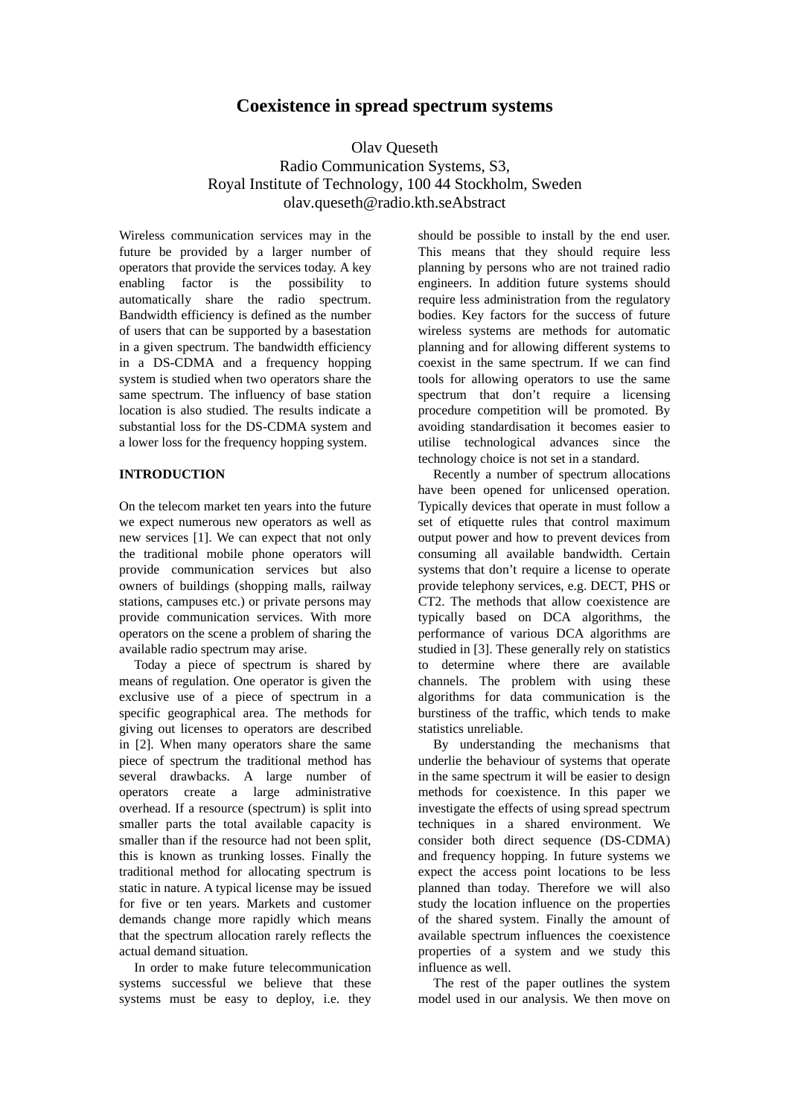# **Coexistence in spread spectrum systems**

Olav Queseth Radio Communication Systems, S3, Royal Institute of Technology, 100 44 Stockholm, Sweden olav.queseth@radio.kth.seAbstract

Wireless communication services may in the future be provided by a larger number of operators that provide the services today. A key enabling factor is the possibility to automatically share the radio spectrum. Bandwidth efficiency is defined as the number of users that can be supported by a basestation in a given spectrum. The bandwidth efficiency in a DS-CDMA and a frequency hopping system is studied when two operators share the same spectrum. The influency of base station location is also studied. The results indicate a substantial loss for the DS-CDMA system and a lower loss for the frequency hopping system.

## **INTRODUCTION**

On the telecom market ten years into the future we expect numerous new operators as well as new services [1]. We can expect that not only the traditional mobile phone operators will provide communication services but also owners of buildings (shopping malls, railway stations, campuses etc.) or private persons may provide communication services. With more operators on the scene a problem of sharing the available radio spectrum may arise.

Today a piece of spectrum is shared by means of regulation. One operator is given the exclusive use of a piece of spectrum in a specific geographical area. The methods for giving out licenses to operators are described in [2]. When many operators share the same piece of spectrum the traditional method has several drawbacks. A large number of operators create a large administrative overhead. If a resource (spectrum) is split into smaller parts the total available capacity is smaller than if the resource had not been split, this is known as trunking losses. Finally the traditional method for allocating spectrum is static in nature. A typical license may be issued for five or ten years. Markets and customer demands change more rapidly which means that the spectrum allocation rarely reflects the actual demand situation.

In order to make future telecommunication systems successful we believe that these systems must be easy to deploy, i.e. they

should be possible to install by the end user. This means that they should require less planning by persons who are not trained radio engineers. In addition future systems should require less administration from the regulatory bodies. Key factors for the success of future wireless systems are methods for automatic planning and for allowing different systems to coexist in the same spectrum. If we can find tools for allowing operators to use the same spectrum that don't require a licensing procedure competition will be promoted. By avoiding standardisation it becomes easier to utilise technological advances since the technology choice is not set in a standard.

Recently a number of spectrum allocations have been opened for unlicensed operation. Typically devices that operate in must follow a set of etiquette rules that control maximum output power and how to prevent devices from consuming all available bandwidth. Certain systems that don't require a license to operate provide telephony services, e.g. DECT, PHS or CT2. The methods that allow coexistence are typically based on DCA algorithms, the performance of various DCA algorithms are studied in [3]. These generally rely on statistics to determine where there are available channels. The problem with using these algorithms for data communication is the burstiness of the traffic, which tends to make statistics unreliable.

By understanding the mechanisms that underlie the behaviour of systems that operate in the same spectrum it will be easier to design methods for coexistence. In this paper we investigate the effects of using spread spectrum techniques in a shared environment. We consider both direct sequence (DS-CDMA) and frequency hopping. In future systems we expect the access point locations to be less planned than today. Therefore we will also study the location influence on the properties of the shared system. Finally the amount of available spectrum influences the coexistence properties of a system and we study this influence as well.

The rest of the paper outlines the system model used in our analysis. We then move on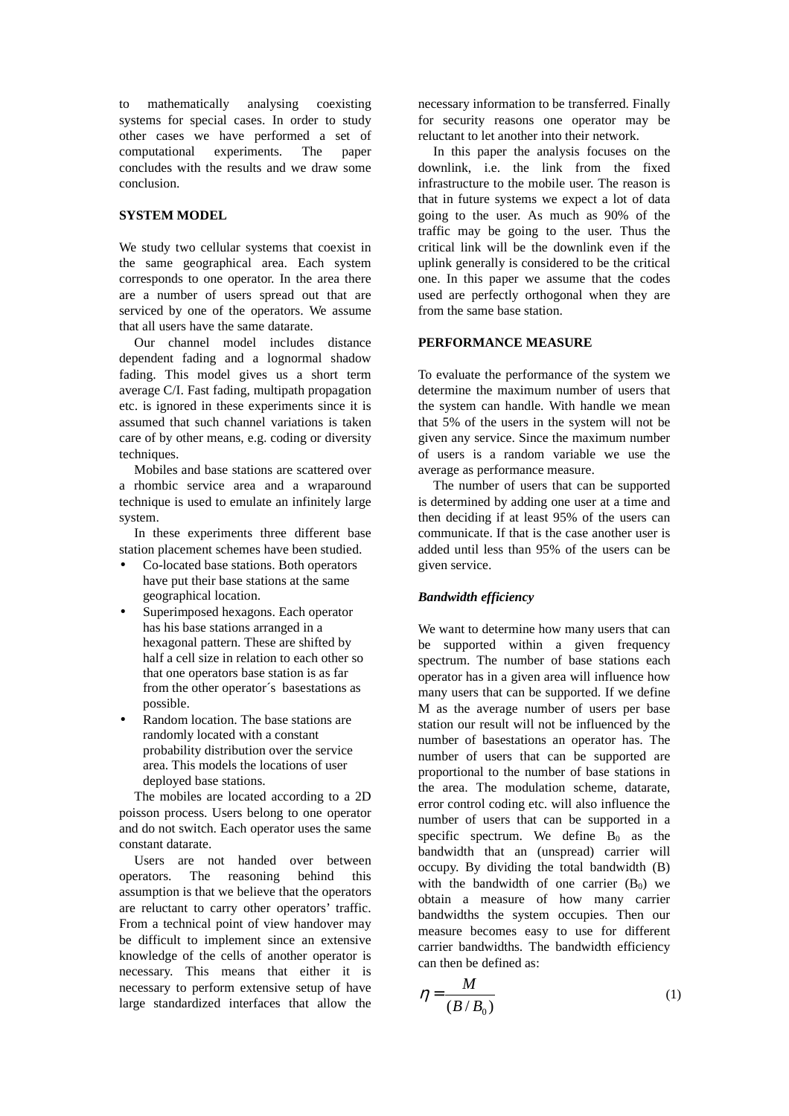to mathematically analysing coexisting systems for special cases. In order to study other cases we have performed a set of computational experiments. The paper computational experiments. The paper concludes with the results and we draw some conclusion.

### **SYSTEM MODEL**

We study two cellular systems that coexist in the same geographical area. Each system corresponds to one operator. In the area there are a number of users spread out that are serviced by one of the operators. We assume that all users have the same datarate.

Our channel model includes distance dependent fading and a lognormal shadow fading. This model gives us a short term average C/I. Fast fading, multipath propagation etc. is ignored in these experiments since it is assumed that such channel variations is taken care of by other means, e.g. coding or diversity techniques.

Mobiles and base stations are scattered over a rhombic service area and a wraparound technique is used to emulate an infinitely large system.

In these experiments three different base station placement schemes have been studied.

- Co-located base stations. Both operators have put their base stations at the same geographical location.
- Superimposed hexagons. Each operator has his base stations arranged in a hexagonal pattern. These are shifted by half a cell size in relation to each other so that one operators base station is as far from the other operator´s basestations as possible.
- Random location. The base stations are randomly located with a constant probability distribution over the service area. This models the locations of user deployed base stations.

The mobiles are located according to a 2D poisson process. Users belong to one operator and do not switch. Each operator uses the same constant datarate.

Users are not handed over between operators. The reasoning behind this assumption is that we believe that the operators are reluctant to carry other operators' traffic. From a technical point of view handover may be difficult to implement since an extensive knowledge of the cells of another operator is necessary. This means that either it is necessary to perform extensive setup of have large standardized interfaces that allow the

necessary information to be transferred. Finally for security reasons one operator may be reluctant to let another into their network.

In this paper the analysis focuses on the downlink, i.e. the link from the fixed infrastructure to the mobile user. The reason is that in future systems we expect a lot of data going to the user. As much as 90% of the traffic may be going to the user. Thus the critical link will be the downlink even if the uplink generally is considered to be the critical one. In this paper we assume that the codes used are perfectly orthogonal when they are from the same base station.

## **PERFORMANCE MEASURE**

To evaluate the performance of the system we determine the maximum number of users that the system can handle. With handle we mean that 5% of the users in the system will not be given any service. Since the maximum number of users is a random variable we use the average as performance measure.

The number of users that can be supported is determined by adding one user at a time and then deciding if at least 95% of the users can communicate. If that is the case another user is added until less than 95% of the users can be given service.

#### *Bandwidth efficiency*

We want to determine how many users that can be supported within a given frequency spectrum. The number of base stations each operator has in a given area will influence how many users that can be supported. If we define M as the average number of users per base station our result will not be influenced by the number of basestations an operator has. The number of users that can be supported are proportional to the number of base stations in the area. The modulation scheme, datarate, error control coding etc. will also influence the number of users that can be supported in a specific spectrum. We define  $B_0$  as the bandwidth that an (unspread) carrier will occupy. By dividing the total bandwidth (B) with the bandwidth of one carrier  $(B<sub>0</sub>)$  we obtain a measure of how many carrier bandwidths the system occupies. Then our measure becomes easy to use for different carrier bandwidths. The bandwidth efficiency can then be defined as:

$$
\eta = \frac{M}{(B/B_0)}\tag{1}
$$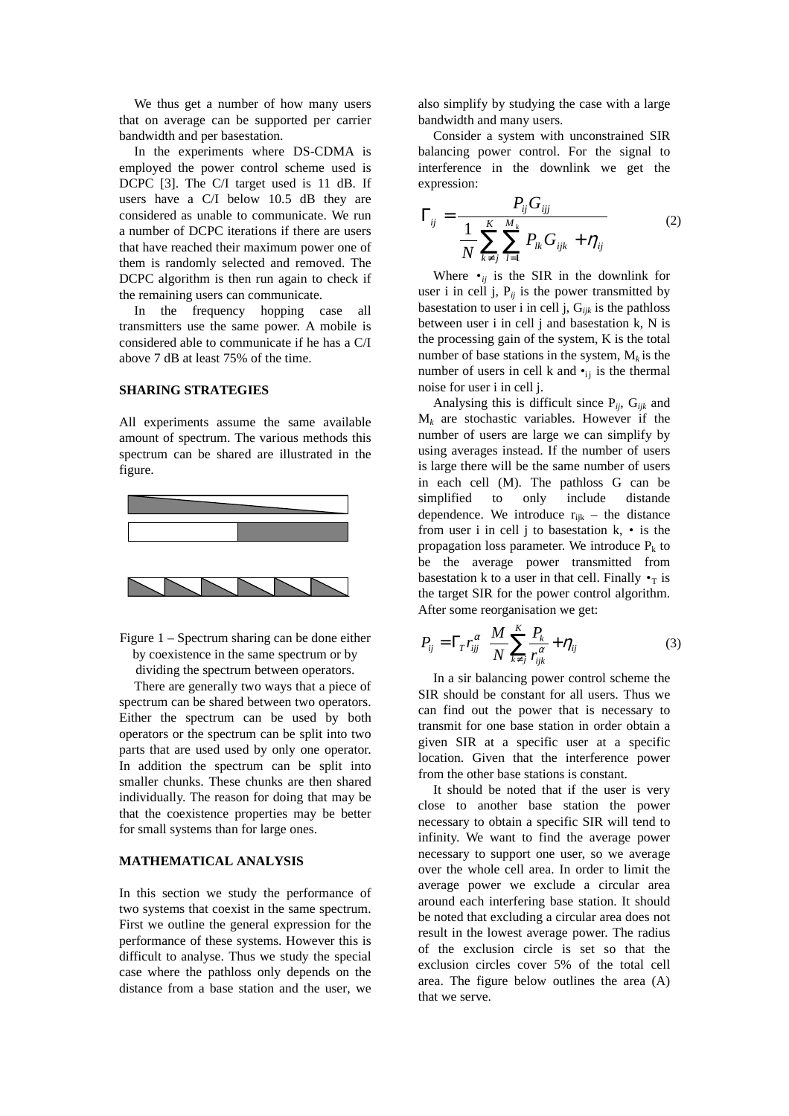We thus get a number of how many users that on average can be supported per carrier bandwidth and per basestation.

In the experiments where DS-CDMA is employed the power control scheme used is DCPC [3]. The C/I target used is 11 dB. If users have a C/I below 10.5 dB they are considered as unable to communicate. We run a number of DCPC iterations if there are users that have reached their maximum power one of them is randomly selected and removed. The DCPC algorithm is then run again to check if the remaining users can communicate.

In the frequency hopping case all transmitters use the same power. A mobile is considered able to communicate if he has a C/I above 7 dB at least 75% of the time.

## **SHARING STRATEGIES**

All experiments assume the same available amount of spectrum. The various methods this spectrum can be shared are illustrated in the figure.



Figure 1 – Spectrum sharing can be done either by coexistence in the same spectrum or by dividing the spectrum between operators.

There are generally two ways that a piece of spectrum can be shared between two operators. Either the spectrum can be used by both operators or the spectrum can be split into two parts that are used used by only one operator. In addition the spectrum can be split into smaller chunks. These chunks are then shared individually. The reason for doing that may be that the coexistence properties may be better for small systems than for large ones.

## **MATHEMATICAL ANALYSIS**

In this section we study the performance of two systems that coexist in the same spectrum. First we outline the general expression for the performance of these systems. However this is difficult to analyse. Thus we study the special case where the pathloss only depends on the distance from a base station and the user, we also simplify by studying the case with a large bandwidth and many users.

Consider a system with unconstrained SIR balancing power control. For the signal to interference in the downlink we get the expression:

$$
\Gamma_{ij} = \frac{P_{ij} G_{ijj}}{N \sum_{k \neq j}^{K} \sum_{l=1}^{M_k} P_{lk} G_{ijk} + \eta_{ij}}
$$
(2)

Where  $\bullet_{ij}$  is the SIR in the downlink for user i in cell j,  $P_{ij}$  is the power transmitted by basestation to user i in cell j, G*ijk* is the pathloss between user i in cell j and basestation k, N is the processing gain of the system, K is the total number of base stations in the system,  $M_k$  is the number of users in cell k and  $\bullet$ <sub>ii</sub> is the thermal noise for user i in cell j.

Analysing this is difficult since P*ij*, G*ijk* and  $M_k$  are stochastic variables. However if the number of users are large we can simplify by using averages instead. If the number of users is large there will be the same number of users in each cell (M). The pathloss G can be simplified to only include distande dependence. We introduce  $r_{ijk}$  – the distance from user i in cell j to basestation  $k$ ,  $\cdot$  is the propagation loss parameter. We introduce  $P_k$  to be the average power transmitted from basestation k to a user in that cell. Finally  $\bullet_T$  is the target SIR for the power control algorithm. After some reorganisation we get:

$$
P_{ij} = \Gamma_T r_{ij}^{\alpha} \left( \frac{M}{N} \sum_{k \neq j}^{K} \frac{P_k}{r_{ijk}^{\alpha}} + \eta_{ij} \right)
$$
(3)

In a sir balancing power control scheme the SIR should be constant for all users. Thus we can find out the power that is necessary to transmit for one base station in order obtain a given SIR at a specific user at a specific location. Given that the interference power from the other base stations is constant.

It should be noted that if the user is very close to another base station the power necessary to obtain a specific SIR will tend to infinity. We want to find the average power necessary to support one user, so we average over the whole cell area. In order to limit the average power we exclude a circular area around each interfering base station. It should be noted that excluding a circular area does not result in the lowest average power. The radius of the exclusion circle is set so that the exclusion circles cover 5% of the total cell area. The figure below outlines the area (A) that we serve.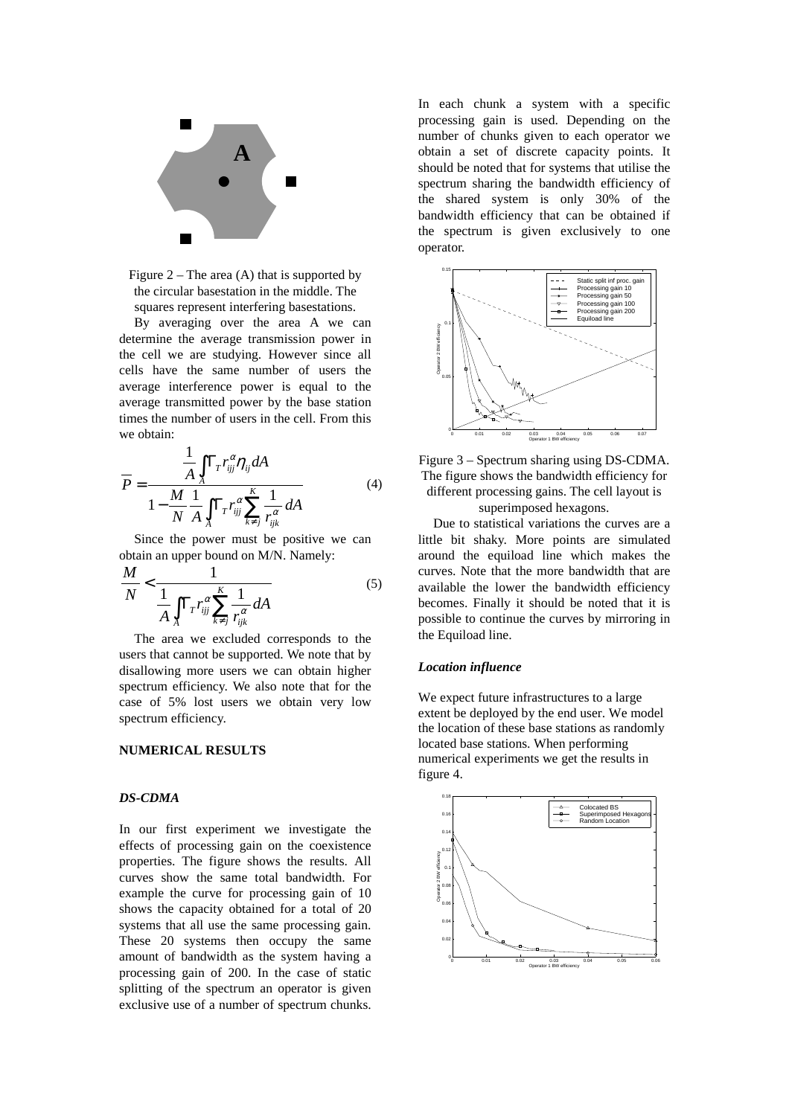

Figure  $2 -$ The area  $(A)$  that is supported by the circular basestation in the middle. The squares represent interfering basestations.

By averaging over the area A we can determine the average transmission power in the cell we are studying. However since all cells have the same number of users the average interference power is equal to the average transmitted power by the base station times the number of users in the cell. From this we obtain:

$$
\overline{P} = \frac{\frac{1}{A} \int_{A} \Gamma_{T} r_{ij}^{\alpha} \eta_{ij} dA}{1 - \frac{M}{N} \frac{1}{A} \int_{A} \Gamma_{T} r_{ij}^{\alpha} \sum_{k \neq j}^{K} \frac{1}{r_{ijk}^{\alpha}} dA}
$$
(4)

Since the power must be positive we can obtain an upper bound on M/N. Namely:

$$
\frac{M}{N} < \frac{1}{\frac{1}{A} \int_{A} \Gamma_{T} r_{ijj}^{\alpha} \sum_{k \neq j}^{K} \frac{1}{r_{ijk}^{\alpha}} dA} \tag{5}
$$

The area we excluded corresponds to the users that cannot be supported. We note that by disallowing more users we can obtain higher spectrum efficiency. We also note that for the case of 5% lost users we obtain very low spectrum efficiency.

## **NUMERICAL RESULTS**

#### *DS-CDMA*

In our first experiment we investigate the effects of processing gain on the coexistence properties. The figure shows the results. All curves show the same total bandwidth. For example the curve for processing gain of 10 shows the capacity obtained for a total of 20 systems that all use the same processing gain. These 20 systems then occupy the same amount of bandwidth as the system having a processing gain of 200. In the case of static splitting of the spectrum an operator is given exclusive use of a number of spectrum chunks.

In each chunk a system with a specific processing gain is used. Depending on the number of chunks given to each operator we obtain a set of discrete capacity points. It should be noted that for systems that utilise the spectrum sharing the bandwidth efficiency of the shared system is only 30% of the bandwidth efficiency that can be obtained if the spectrum is given exclusively to one operator.



Figure 3 – Spectrum sharing using DS-CDMA. The figure shows the bandwidth efficiency for different processing gains. The cell layout is superimposed hexagons.

Due to statistical variations the curves are a little bit shaky. More points are simulated around the equiload line which makes the curves. Note that the more bandwidth that are available the lower the bandwidth efficiency becomes. Finally it should be noted that it is possible to continue the curves by mirroring in the Equiload line.

#### *Location influence*

We expect future infrastructures to a large extent be deployed by the end user. We model the location of these base stations as randomly located base stations. When performing numerical experiments we get the results in figure 4.

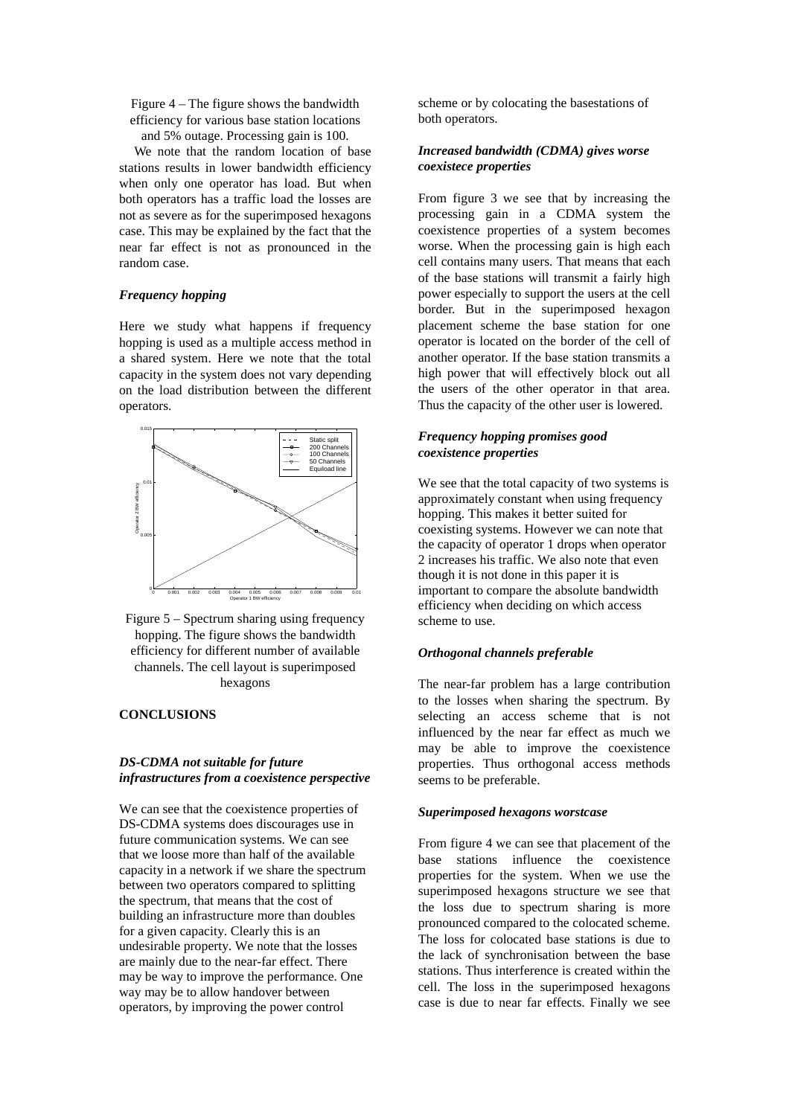Figure 4 – The figure shows the bandwidth efficiency for various base station locations and 5% outage. Processing gain is 100.

We note that the random location of base stations results in lower bandwidth efficiency when only one operator has load. But when both operators has a traffic load the losses are not as severe as for the superimposed hexagons case. This may be explained by the fact that the near far effect is not as pronounced in the random case.

#### *Frequency hopping*

Here we study what happens if frequency hopping is used as a multiple access method in a shared system. Here we note that the total capacity in the system does not vary depending on the load distribution between the different operators.





#### **CONCLUSIONS**

## *DS-CDMA not suitable for future infrastructures from a coexistence perspective*

We can see that the coexistence properties of DS-CDMA systems does discourages use in future communication systems. We can see that we loose more than half of the available capacity in a network if we share the spectrum between two operators compared to splitting the spectrum, that means that the cost of building an infrastructure more than doubles for a given capacity. Clearly this is an undesirable property. We note that the losses are mainly due to the near-far effect. There may be way to improve the performance. One way may be to allow handover between operators, by improving the power control

scheme or by colocating the basestations of both operators.

## *Increased bandwidth (CDMA) gives worse coexistece properties*

From figure 3 we see that by increasing the processing gain in a CDMA system the coexistence properties of a system becomes worse. When the processing gain is high each cell contains many users. That means that each of the base stations will transmit a fairly high power especially to support the users at the cell border. But in the superimposed hexagon placement scheme the base station for one operator is located on the border of the cell of another operator. If the base station transmits a high power that will effectively block out all the users of the other operator in that area. Thus the capacity of the other user is lowered.

#### *Frequency hopping promises good coexistence properties*

We see that the total capacity of two systems is approximately constant when using frequency hopping. This makes it better suited for coexisting systems. However we can note that the capacity of operator 1 drops when operator 2 increases his traffic. We also note that even though it is not done in this paper it is important to compare the absolute bandwidth efficiency when deciding on which access scheme to use.

#### *Orthogonal channels preferable*

The near-far problem has a large contribution to the losses when sharing the spectrum. By selecting an access scheme that is not influenced by the near far effect as much we may be able to improve the coexistence properties. Thus orthogonal access methods seems to be preferable.

#### *Superimposed hexagons worstcase*

From figure 4 we can see that placement of the base stations influence the coexistence properties for the system. When we use the superimposed hexagons structure we see that the loss due to spectrum sharing is more pronounced compared to the colocated scheme. The loss for colocated base stations is due to the lack of synchronisation between the base stations. Thus interference is created within the cell. The loss in the superimposed hexagons case is due to near far effects. Finally we see